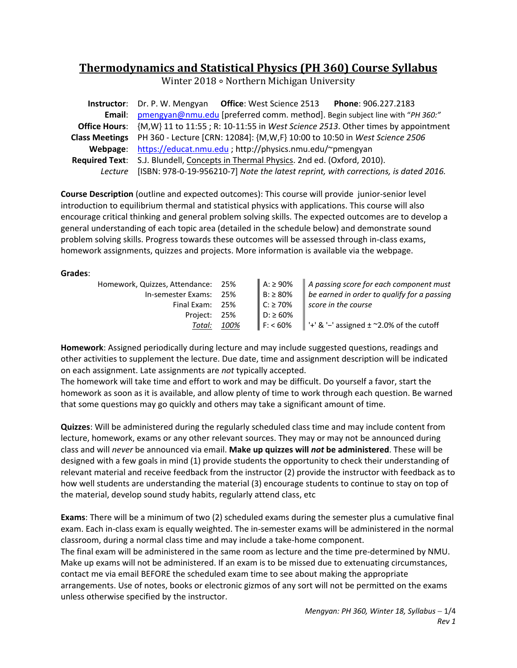# **Thermodynamics and Statistical Physics (PH 360) Course Syllabus**

Winter 2018 ∘ Northern Michigan University

| <b>Instructor:</b> Dr. P. W. Mengyan Office: West Science 2513<br>Phone: 906.227.2183                |  |  |
|------------------------------------------------------------------------------------------------------|--|--|
| Email: pmengyan@nmu.edu [preferred comm. method]. Begin subject line with "PH 360:"                  |  |  |
| <b>Office Hours:</b> {M,W} 11 to 11:55; R: 10-11:55 in West Science 2513. Other times by appointment |  |  |
| Class Meetings PH 360 - Lecture [CRN: 12084]: {M,W,F} 10:00 to 10:50 in West Science 2506            |  |  |
| Webpage: https://educat.nmu.edu ; http://physics.nmu.edu/~pmengyan                                   |  |  |
| Required Text: S.J. Blundell, Concepts in Thermal Physics. 2nd ed. (Oxford, 2010).                   |  |  |
| Lecture [ISBN: 978-0-19-956210-7] Note the latest reprint, with corrections, is dated 2016.          |  |  |

**Course Description** (outline and expected outcomes): This course will provide junior‐senior level introduction to equilibrium thermal and statistical physics with applications. This course will also encourage critical thinking and general problem solving skills. The expected outcomes are to develop a general understanding of each topic area (detailed in the schedule below) and demonstrate sound problem solving skills. Progress towards these outcomes will be assessed through in‐class exams, homework assignments, quizzes and projects. More information is available via the webpage.

# **Grades**:

| Homework, Quizzes, Attendance: 25% |      |                            | $\parallel$ A: $\ge$ 90% $\parallel$ A passing score for each component must  |
|------------------------------------|------|----------------------------|-------------------------------------------------------------------------------|
| In-semester Exams: 25%             |      | $B: \geq 80\%$             | $\parallel$ be earned in order to qualify for a passing                       |
| Final Exam: 25%                    |      | $\mathsf{C}$ : $\geq 70\%$ | score in the course                                                           |
| Project: 25%                       |      | $D: \geq 60\%$             |                                                                               |
| Total:                             | 100% |                            | $\parallel$ F: < 60% $\parallel$ '+' & '-' assigned $\pm$ ~2.0% of the cutoff |

**Homework**: Assigned periodically during lecture and may include suggested questions, readings and other activities to supplement the lecture. Due date, time and assignment description will be indicated on each assignment. Late assignments are *not* typically accepted.

The homework will take time and effort to work and may be difficult. Do yourself a favor, start the homework as soon as it is available, and allow plenty of time to work through each question. Be warned that some questions may go quickly and others may take a significant amount of time.

**Quizzes**: Will be administered during the regularly scheduled class time and may include content from lecture, homework, exams or any other relevant sources. They may or may not be announced during class and will *never* be announced via email. **Make up quizzes will** *not* **be administered**. These will be designed with a few goals in mind (1) provide students the opportunity to check their understanding of relevant material and receive feedback from the instructor (2) provide the instructor with feedback as to how well students are understanding the material (3) encourage students to continue to stay on top of the material, develop sound study habits, regularly attend class, etc

**Exams**: There will be a minimum of two (2) scheduled exams during the semester plus a cumulative final exam. Each in‐class exam is equally weighted. The in‐semester exams will be administered in the normal classroom, during a normal class time and may include a take‐home component. The final exam will be administered in the same room as lecture and the time pre‐determined by NMU. Make up exams will not be administered. If an exam is to be missed due to extenuating circumstances, contact me via email BEFORE the scheduled exam time to see about making the appropriate arrangements. Use of notes, books or electronic gizmos of any sort will not be permitted on the exams unless otherwise specified by the instructor.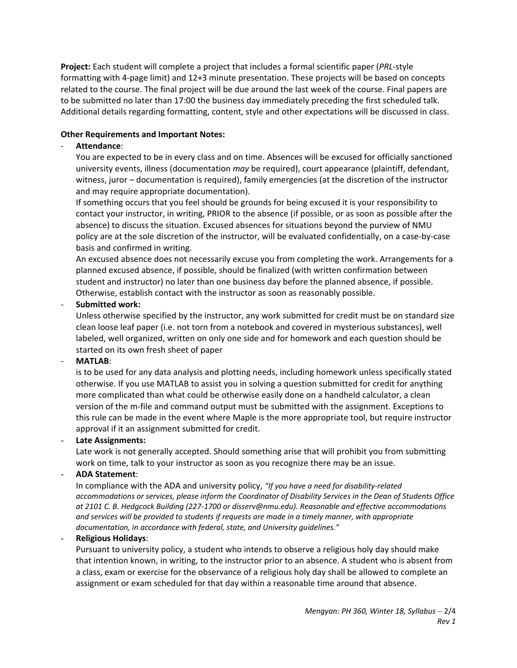**Project:** Each student will complete a project that includes a formal scientific paper (*PRL*‐style formatting with 4‐page limit) and 12+3 minute presentation. These projects will be based on concepts related to the course. The final project will be due around the last week of the course. Final papers are to be submitted no later than 17:00 the business day immediately preceding the first scheduled talk. Additional details regarding formatting, content, style and other expectations will be discussed in class.

# **Other Requirements and Important Notes:**

# ‐ **Attendance**:

You are expected to be in every class and on time. Absences will be excused for officially sanctioned university events, illness (documentation *may* be required), court appearance (plaintiff, defendant, witness, juror – documentation is required), family emergencies (at the discretion of the instructor and may require appropriate documentation).

If something occurs that you feel should be grounds for being excused it is your responsibility to contact your instructor, in writing, PRIOR to the absence (if possible, or as soon as possible after the absence) to discuss the situation. Excused absences for situations beyond the purview of NMU policy are at the sole discretion of the instructor, will be evaluated confidentially, on a case‐by‐case basis and confirmed in writing.

An excused absence does not necessarily excuse you from completing the work. Arrangements for a planned excused absence, if possible, should be finalized (with written confirmation between student and instructor) no later than one business day before the planned absence, if possible. Otherwise, establish contact with the instructor as soon as reasonably possible.

# ‐ **Submitted work:**

Unless otherwise specified by the instructor, any work submitted for credit must be on standard size clean loose leaf paper (i.e. not torn from a notebook and covered in mysterious substances), well labeled, well organized, written on only one side and for homework and each question should be started on its own fresh sheet of paper

#### ‐ **MATLAB**:

is to be used for any data analysis and plotting needs, including homework unless specifically stated otherwise. If you use MATLAB to assist you in solving a question submitted for credit for anything more complicated than what could be otherwise easily done on a handheld calculator, a clean version of the m‐file and command output must be submitted with the assignment. Exceptions to this rule can be made in the event where Maple is the more appropriate tool, but require instructor approval if it an assignment submitted for credit.

#### - **Late Assignments:**

Late work is not generally accepted. Should something arise that will prohibit you from submitting work on time, talk to your instructor as soon as you recognize there may be an issue.

# - **ADA Statement**:

In compliance with the ADA and university policy, *"If you have a need for disability‐related accommodations or services, please inform the Coordinator of Disability Services in the Dean of Students Office at 2101 C. B. Hedgcock Building (227‐1700 or disserv@nmu.edu). Reasonable and effective accommodations and services will be provided to students if requests are made in a timely manner, with appropriate documentation, in accordance with federal, state, and University guidelines."*

# - **Religious Holidays**:

Pursuant to university policy, a student who intends to observe a religious holy day should make that intention known, in writing, to the instructor prior to an absence. A student who is absent from a class, exam or exercise for the observance of a religious holy day shall be allowed to complete an assignment or exam scheduled for that day within a reasonable time around that absence.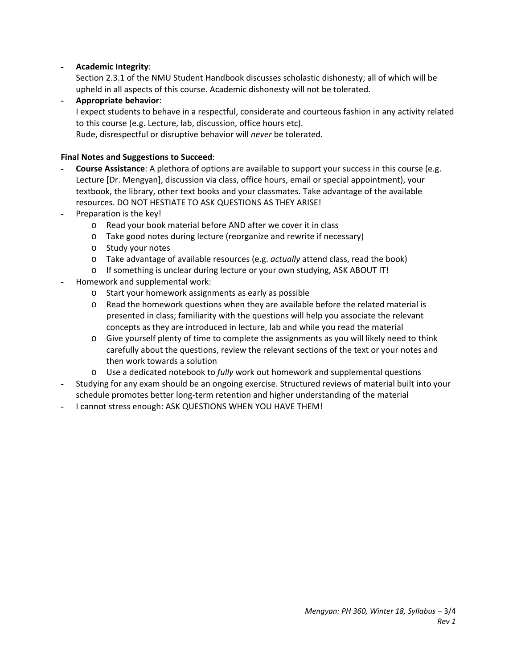# - **Academic Integrity**:

Section 2.3.1 of the NMU Student Handbook discusses scholastic dishonesty; all of which will be upheld in all aspects of this course. Academic dishonesty will not be tolerated.

- **Appropriate behavior**: I expect students to behave in a respectful, considerate and courteous fashion in any activity related to this course (e.g. Lecture, lab, discussion, office hours etc). Rude, disrespectful or disruptive behavior will *never* be tolerated.

# **Final Notes and Suggestions to Succeed**:

- **Course Assistance**: A plethora of options are available to support your success in this course (e.g. Lecture [Dr. Mengyan], discussion via class, office hours, email or special appointment), your textbook, the library, other text books and your classmates. Take advantage of the available resources. DO NOT HESTIATE TO ASK QUESTIONS AS THEY ARISE!
- Preparation is the key!
	- o Read your book material before AND after we cover it in class
	- o Take good notes during lecture (reorganize and rewrite if necessary)
	- o Study your notes
	- o Take advantage of available resources (e.g. *actually* attend class, read the book)
	- o If something is unclear during lecture or your own studying, ASK ABOUT IT!
- Homework and supplemental work:
	- o Start your homework assignments as early as possible
	- $\circ$  Read the homework questions when they are available before the related material is presented in class; familiarity with the questions will help you associate the relevant concepts as they are introduced in lecture, lab and while you read the material
	- o Give yourself plenty of time to complete the assignments as you will likely need to think carefully about the questions, review the relevant sections of the text or your notes and then work towards a solution
	- o Use a dedicated notebook to *fully* work out homework and supplemental questions
- Studying for any exam should be an ongoing exercise. Structured reviews of material built into your schedule promotes better long‐term retention and higher understanding of the material
- I cannot stress enough: ASK QUESTIONS WHEN YOU HAVE THEM!